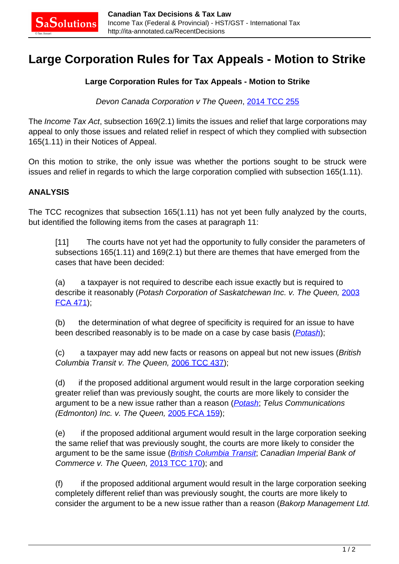## **Large Corporation Rules for Tax Appeals - Motion to Strike**

## **Large Corporation Rules for Tax Appeals - Motion to Strike**

Devon Canada Corporation v The Queen, [2014 TCC 255](http://decision.tcc-cci.gc.ca/tcc-cci/decisions/en/item/73266/index.do)

The Income Tax Act, subsection 169(2.1) limits the issues and relief that large corporations may appeal to only those issues and related relief in respect of which they complied with subsection 165(1.11) in their Notices of Appeal.

On this motion to strike, the only issue was whether the portions sought to be struck were issues and relief in regards to which the large corporation complied with subsection 165(1.11).

## **ANALYSIS**

The TCC recognizes that subsection 165(1.11) has not yet been fully analyzed by the courts, but identified the following items from the cases at paragraph 11:

[11] The courts have not yet had the opportunity to fully consider the parameters of subsections 165(1.11) and 169(2.1) but there are themes that have emerged from the cases that have been decided:

(a) a taxpayer is not required to describe each issue exactly but is required to describe it reasonably (Potash Corporation of Saskatchewan Inc. v. The Queen, [2003](http://canlii.ca/t/1g2l5) [FCA 471\)](http://canlii.ca/t/1g2l5);

(b) the determination of what degree of specificity is required for an issue to have been described reasonably is to be made on a case by case basis (*[Potash](http://canlii.ca/t/1g2l5)*);

(c) a taxpayer may add new facts or reasons on appeal but not new issues (British Columbia Transit v. The Queen, [2006 TCC 437\)](http://canlii.ca/t/1p3s4);

(d) if the proposed additional argument would result in the large corporation seeking greater relief than was previously sought, the courts are more likely to consider the argument to be a new issue rather than a reason (*[Potash](http://canlii.ca/t/1g2l5)*; Telus Communications (Edmonton) Inc. v. The Queen, [2005 FCA 159](http://canlii.ca/t/1kwzs));

(e) if the proposed additional argument would result in the large corporation seeking the same relief that was previously sought, the courts are more likely to consider the argument to be the same issue (**[British Columbia Transit](http://canlii.ca/t/1kwzs)**; Canadian Imperial Bank of Commerce v. The Queen, [2013 TCC 170\)](http://canlii.ca/t/fxqrt); and

(f) if the proposed additional argument would result in the large corporation seeking completely different relief than was previously sought, the courts are more likely to consider the argument to be a new issue rather than a reason (Bakorp Management Ltd.